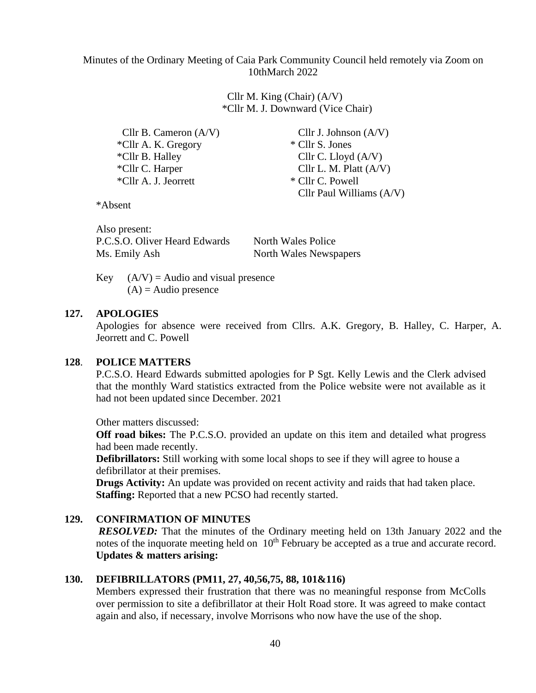Minutes of the Ordinary Meeting of Caia Park Community Council held remotely via Zoom on 10thMarch 2022

> Cllr M. King (Chair) (A/V) \*Cllr M. J. Downward (Vice Chair)

Cllr B. Cameron (A/V) Cllr J. Johnson (A/V) \*Cllr A. K. Gregory \* Cllr S. Jones  $\text{Cllr } B$ . Halley Cllr C. Lloyd  $(A/V)$ \*Cllr C. Harper Cllr L. M. Platt  $(A/V)$ \*Cllr A. J. Jeorrett \* Cllr C. Powell

Cllr Paul Williams (A/V)

\*Absent

Also present: P.C.S.O. Oliver Heard Edwards North Wales Police Ms. Emily Ash North Wales Newspapers

Key  $(A/V) =$  Audio and visual presence  $(A)$  = Audio presence

## **127. APOLOGIES**

Apologies for absence were received from Cllrs. A.K. Gregory, B. Halley, C. Harper, A. Jeorrett and C. Powell

## **128**. **POLICE MATTERS**

P.C.S.O. Heard Edwards submitted apologies for P Sgt. Kelly Lewis and the Clerk advised that the monthly Ward statistics extracted from the Police website were not available as it had not been updated since December. 2021

Other matters discussed:

**Off road bikes:** The P.C.S.O. provided an update on this item and detailed what progress had been made recently.

**Defibrillators:** Still working with some local shops to see if they will agree to house a defibrillator at their premises.

**Drugs Activity:** An update was provided on recent activity and raids that had taken place. **Staffing:** Reported that a new PCSO had recently started.

## **129. CONFIRMATION OF MINUTES**

*RESOLVED:* That the minutes of the Ordinary meeting held on 13th January 2022 and the notes of the inquorate meeting held on 10<sup>th</sup> February be accepted as a true and accurate record. **Updates & matters arising:**

### **130. DEFIBRILLATORS (PM11, 27, 40,56,75, 88, 101&116)**

Members expressed their frustration that there was no meaningful response from McColls over permission to site a defibrillator at their Holt Road store. It was agreed to make contact again and also, if necessary, involve Morrisons who now have the use of the shop.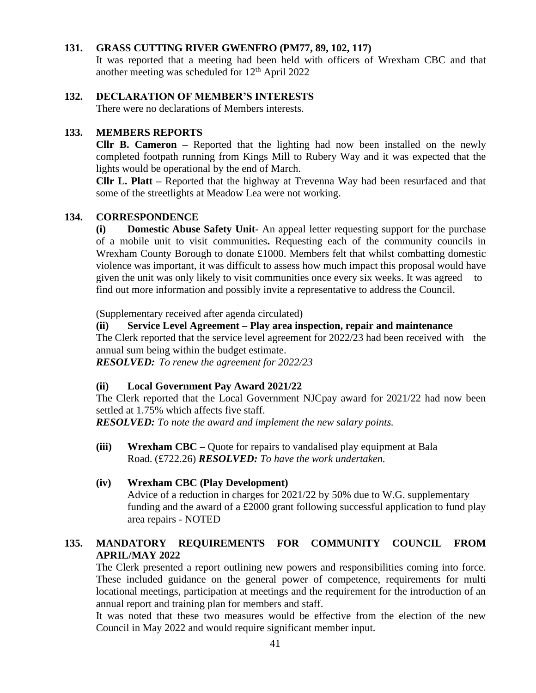# **131. GRASS CUTTING RIVER GWENFRO (PM77, 89, 102, 117)**

It was reported that a meeting had been held with officers of Wrexham CBC and that another meeting was scheduled for  $12<sup>th</sup>$  April 2022

## **132. DECLARATION OF MEMBER'S INTERESTS**

There were no declarations of Members interests.

## **133. MEMBERS REPORTS**

**Cllr B. Cameron –** Reported that the lighting had now been installed on the newly completed footpath running from Kings Mill to Rubery Way and it was expected that the lights would be operational by the end of March.

**Cllr L. Platt –** Reported that the highway at Trevenna Way had been resurfaced and that some of the streetlights at Meadow Lea were not working.

## **134. CORRESPONDENCE**

**(i) Domestic Abuse Safety Unit-** An appeal letter requesting support for the purchase of a mobile unit to visit communities**.** Requesting each of the community councils in Wrexham County Borough to donate £1000. Members felt that whilst combatting domestic violence was important, it was difficult to assess how much impact this proposal would have given the unit was only likely to visit communities once every six weeks. It was agreed to find out more information and possibly invite a representative to address the Council.

(Supplementary received after agenda circulated)

#### **(ii) Service Level Agreement – Play area inspection, repair and maintenance**

The Clerk reported that the service level agreement for 2022/23 had been received with the annual sum being within the budget estimate.

*RESOLVED: To renew the agreement for 2022/23*

#### **(ii) Local Government Pay Award 2021/22**

The Clerk reported that the Local Government NJCpay award for 2021/22 had now been settled at 1.75% which affects five staff.

*RESOLVED: To note the award and implement the new salary points.*

**(iii) Wrexham CBC –** Quote for repairs to vandalised play equipment at Bala Road. (£722.26) *RESOLVED: To have the work undertaken.*

#### **(iv) Wrexham CBC (Play Development)**

Advice of a reduction in charges for 2021/22 by 50% due to W.G. supplementary funding and the award of a £2000 grant following successful application to fund play area repairs - NOTED

# **135. MANDATORY REQUIREMENTS FOR COMMUNITY COUNCIL FROM APRIL/MAY 2022**

The Clerk presented a report outlining new powers and responsibilities coming into force. These included guidance on the general power of competence, requirements for multi locational meetings, participation at meetings and the requirement for the introduction of an annual report and training plan for members and staff.

It was noted that these two measures would be effective from the election of the new Council in May 2022 and would require significant member input.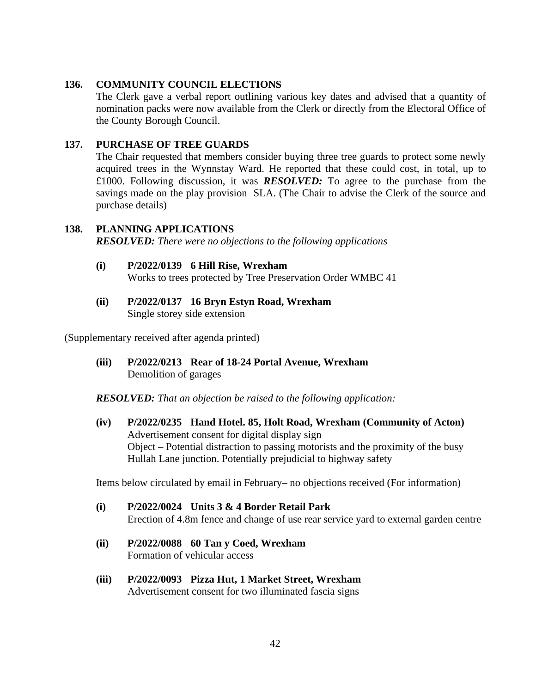# **136. COMMUNITY COUNCIL ELECTIONS**

The Clerk gave a verbal report outlining various key dates and advised that a quantity of nomination packs were now available from the Clerk or directly from the Electoral Office of the County Borough Council.

## **137. PURCHASE OF TREE GUARDS**

The Chair requested that members consider buying three tree guards to protect some newly acquired trees in the Wynnstay Ward. He reported that these could cost, in total, up to £1000. Following discussion, it was *RESOLVED:* To agree to the purchase from the savings made on the play provision SLA. (The Chair to advise the Clerk of the source and purchase details)

# **138. PLANNING APPLICATIONS** *RESOLVED: There were no objections to the following applications*

- **(i) P/2022/0139 6 Hill Rise, Wrexham** Works to trees protected by Tree Preservation Order WMBC 41
- **(ii) P/2022/0137 16 Bryn Estyn Road, Wrexham** Single storey side extension

(Supplementary received after agenda printed)

**(iii) P/2022/0213 Rear of 18-24 Portal Avenue, Wrexham** Demolition of garages

*RESOLVED: That an objection be raised to the following application:*

**(iv) P/2022/0235 Hand Hotel. 85, Holt Road, Wrexham (Community of Acton)** Advertisement consent for digital display sign Object – Potential distraction to passing motorists and the proximity of the busy Hullah Lane junction. Potentially prejudicial to highway safety

Items below circulated by email in February– no objections received (For information)

- **(i) P/2022/0024 Units 3 & 4 Border Retail Park** Erection of 4.8m fence and change of use rear service yard to external garden centre
- **(ii) P/2022/0088 60 Tan y Coed, Wrexham** Formation of vehicular access
- **(iii) P/2022/0093 Pizza Hut, 1 Market Street, Wrexham** Advertisement consent for two illuminated fascia signs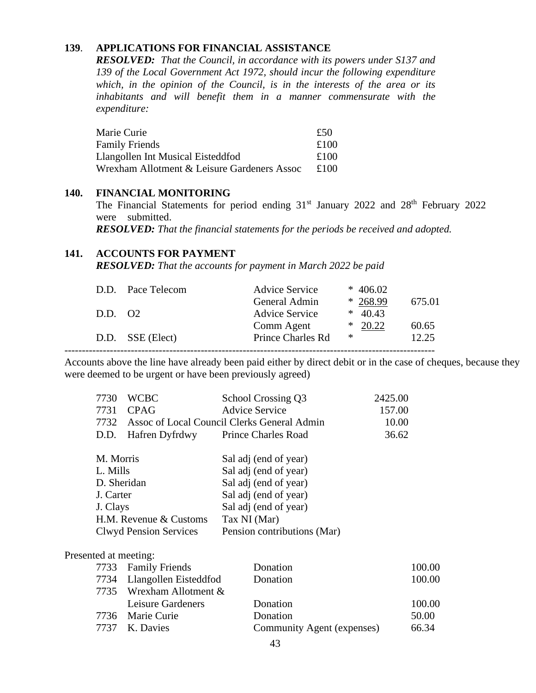# **139**. **APPLICATIONS FOR FINANCIAL ASSISTANCE**

*RESOLVED: That the Council, in accordance with its powers under S137 and 139 of the Local Government Act 1972, should incur the following expenditure which, in the opinion of the Council, is in the interests of the area or its inhabitants and will benefit them in a manner commensurate with the expenditure:* 

| Marie Curie                                 | £50  |
|---------------------------------------------|------|
| Family Friends                              | £100 |
| Llangollen Int Musical Eisteddfod           | £100 |
| Wrexham Allotment & Leisure Gardeners Assoc | £100 |

#### **140. FINANCIAL MONITORING**

The Financial Statements for period ending  $31<sup>st</sup>$  January 2022 and  $28<sup>th</sup>$  February 2022 were submitted.

*RESOLVED: That the financial statements for the periods be received and adopted.*

## **141. ACCOUNTS FOR PAYMENT**

*RESOLVED: That the accounts for payment in March 2022 be paid*

| 675.01 |
|--------|
|        |
| 60.65  |
| 12.25  |
|        |

Accounts above the line have already been paid either by direct debit or in the case of cheques, because they were deemed to be urgent or have been previously agreed)

|                                    | 7730        | <b>WCBC</b>                   | School Crossing Q3                          | 2425.00 |
|------------------------------------|-------------|-------------------------------|---------------------------------------------|---------|
|                                    | 7731        | <b>CPAG</b>                   | <b>Advice Service</b>                       | 157.00  |
|                                    | 7732        |                               | Assoc of Local Council Clerks General Admin | 10.00   |
|                                    | D.D.        | Hafren Dyfrdwy                | <b>Prince Charles Road</b>                  | 36.62   |
|                                    |             |                               |                                             |         |
|                                    | M. Morris   |                               | Sal adj (end of year)                       |         |
|                                    | L. Mills    |                               | Sal adj (end of year)                       |         |
|                                    | D. Sheridan |                               | Sal adj (end of year)                       |         |
|                                    | J. Carter   |                               | Sal adj (end of year)                       |         |
| J. Clays<br>H.M. Revenue & Customs |             |                               | Sal adj (end of year)                       |         |
|                                    |             |                               | Tax NI (Mar)                                |         |
|                                    |             | <b>Clwyd Pension Services</b> | Pension contributions (Mar)                 |         |
|                                    |             |                               |                                             |         |

#### Presented at meeting:

| 7733 Family Friends        | Donation                   | 100.00 |
|----------------------------|----------------------------|--------|
| 7734 Llangollen Eisteddfod | Donation                   | 100.00 |
| 7735 Wrexham Allotment &   |                            |        |
| Leisure Gardeners          | Donation                   | 100.00 |
| 7736 Marie Curie           | Donation                   | 50.00  |
| 7737 K. Davies             | Community Agent (expenses) | 66.34  |
|                            |                            |        |